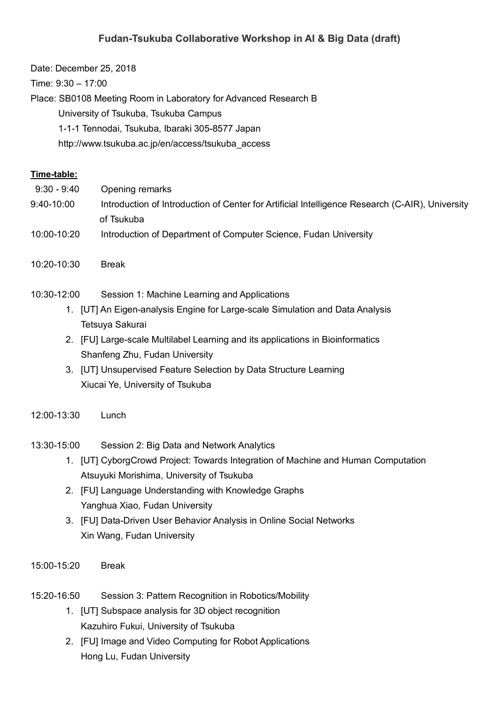## **Fudan-Tsukuba Collaborative Workshop in AI & Big Data (draft)**

Date: December 25, 2018

Time: 9:30 – 17:00

Place: SB0108 Meeting Room in Laboratory for Advanced Research B

University of Tsukuba, Tsukuba Campus

1-1-1 Tennodai, Tsukuba, Ibaraki 305-8577 Japan

http://www.tsukuba.ac.jp/en/access/tsukuba\_access

## **Time-table:**

- 9:30 9:40 Opening remarks
- 9:40-10:00 Introduction of Introduction of Center for Artificial Intelligence Research (C-AIR), University of Tsukuba
- 10:00-10:20 Introduction of Department of Computer Science, Fudan University
- 10:20-10:30 Break
- 10:30-12:00 Session 1: Machine Learning and Applications
	- 1. [UT] An Eigen-analysis Engine for Large-scale Simulation and Data Analysis Tetsuya Sakurai
	- 2. [FU] Large-scale Multilabel Learning and its applications in Bioinformatics Shanfeng Zhu, Fudan University
	- 3. [UT] Unsupervised Feature Selection by Data Structure Learning Xiucai Ye, University of Tsukuba

## 12:00-13:30 Lunch

13:30-15:00 Session 2: Big Data and Network Analytics

- 1. [UT] CyborgCrowd Project: Towards Integration of Machine and Human Computation Atsuyuki Morishima, University of Tsukuba
- 2. [FU] Language Understanding with Knowledge Graphs Yanghua Xiao, Fudan University
- 3. [FU] Data-Driven User Behavior Analysis in Online Social Networks Xin Wang, Fudan University
- 15:00-15:20 Break
- 15:20-16:50 Session 3: Pattern Recognition in Robotics/Mobility
	- 1. [UT] Subspace analysis for 3D object recognition Kazuhiro Fukui, University of Tsukuba
	- 2. [FU] Image and Video Computing for Robot Applications Hong Lu, Fudan University